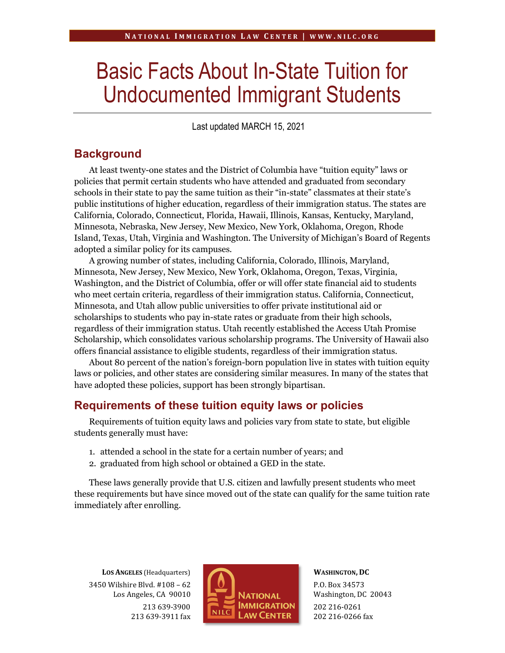# Basic Facts About In-State Tuition for Undocumented Immigrant Students

Last updated MARCH 15, 2021

## **Background**

At least twenty-one states and the District of Columbia have "tuition equity" laws or policies that permit certain students who have attended and graduated from secondary schools in their state to pay the same tuition as their "in-state" classmates at their state's public institutions of higher education, regardless of their immigration status. The states are California, Colorado, Connecticut, Florida, Hawaii, Illinois, Kansas, Kentucky, Maryland, Minnesota, Nebraska, New Jersey, New Mexico, New York, Oklahoma, Oregon, Rhode Island, Texas, Utah, Virginia and Washington. The University of Michigan's Board of Regents adopted a similar policy for its campuses.

A growing number of states, including California, Colorado, Illinois, Maryland, Minnesota, New Jersey, New Mexico, New York, Oklahoma, Oregon, Texas, Virginia, Washington, and the District of Columbia, offer or will offer state financial aid to students who meet certain criteria, regardless of their immigration status. California, Connecticut, Minnesota, and Utah allow public universities to offer private institutional aid or scholarships to students who pay in-state rates or graduate from their high schools, regardless of their immigration status. Utah recently established the Access Utah Promise Scholarship, which consolidates various scholarship programs. The University of Hawaii also offers financial assistance to eligible students, regardless of their immigration status.

About 80 percent of the nation's foreign-born population live in states with tuition equity laws or policies, and other states are considering similar measures. In many of the states that have adopted these policies, support has been strongly bipartisan.

### **Requirements of these tuition equity laws or policies**

Requirements of tuition equity laws and policies vary from state to state, but eligible students generally must have:

- 1. attended a school in the state for a certain number of years; and
- 2. graduated from high school or obtained a GED in the state.

These laws generally provide that U.S. citizen and lawfully present students who meet these requirements but have since moved out of the state can qualify for the same tuition rate immediately after enrolling.

**LOS ANGELES** (Headquarters) 3450 Wilshire Blvd. #108 – 62 Los Angeles, CA 90010 213 639-3900 213 639-3911 fax



**WASHINGTON, DC** P.O. Box 34573 Washington, DC 20043 202 216-0261 202 216-0266 fax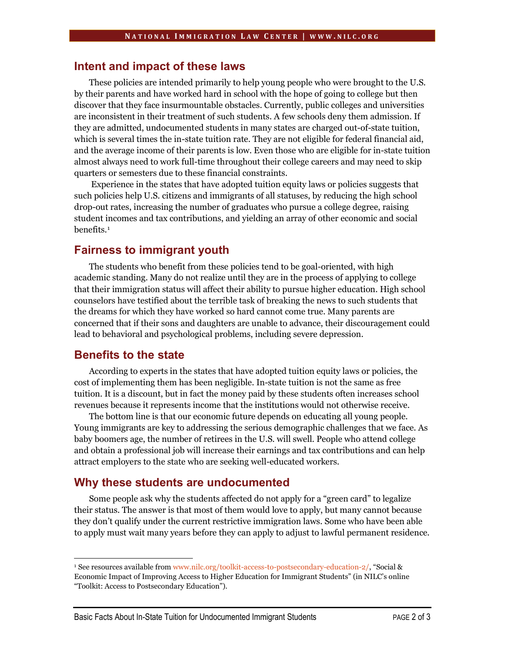#### **Intent and impact of these laws**

These policies are intended primarily to help young people who were brought to the U.S. by their parents and have worked hard in school with the hope of going to college but then discover that they face insurmountable obstacles. Currently, public colleges and universities are inconsistent in their treatment of such students. A few schools deny them admission. If they are admitted, undocumented students in many states are charged out-of-state tuition, which is several times the in-state tuition rate. They are not eligible for federal financial aid, and the average income of their parents is low. Even those who are eligible for in-state tuition almost always need to work full-time throughout their college careers and may need to skip quarters or semesters due to these financial constraints.

Experience in the states that have adopted tuition equity laws or policies suggests that such policies help U.S. citizens and immigrants of all statuses, by reducing the high school drop-out rates, increasing the number of graduates who pursue a college degree, raising student incomes and tax contributions, and yielding an array of other economic and social benefits.[1](#page-1-0)

#### **Fairness to immigrant youth**

The students who benefit from these policies tend to be goal-oriented, with high academic standing. Many do not realize until they are in the process of applying to college that their immigration status will affect their ability to pursue higher education. High school counselors have testified about the terrible task of breaking the news to such students that the dreams for which they have worked so hard cannot come true. Many parents are concerned that if their sons and daughters are unable to advance, their discouragement could lead to behavioral and psychological problems, including severe depression.

#### **Benefits to the state**

According to experts in the states that have adopted tuition equity laws or policies, the cost of implementing them has been negligible. In-state tuition is not the same as free tuition. It is a discount, but in fact the money paid by these students often increases school revenues because it represents income that the institutions would not otherwise receive.

The bottom line is that our economic future depends on educating all young people. Young immigrants are key to addressing the serious demographic challenges that we face. As baby boomers age, the number of retirees in the U.S. will swell. People who attend college and obtain a professional job will increase their earnings and tax contributions and can help attract employers to the state who are seeking well-educated workers.

#### **Why these students are undocumented**

Some people ask why the students affected do not apply for a "green card" to legalize their status. The answer is that most of them would love to apply, but many cannot because they don't qualify under the current restrictive immigration laws. Some who have been able to apply must wait many years before they can apply to adjust to lawful permanent residence.

<span id="page-1-0"></span><sup>&</sup>lt;sup>1</sup> See resources available from [www.nilc.org/toolkit-access-to-postsecondary-education-2/,](http://www.nilc.org/toolkit-access-to-postsecondary-education-2/) "Social & Economic Impact of Improving Access to Higher Education for Immigrant Students" (in NILC's online "Toolkit: Access to Postsecondary Education").